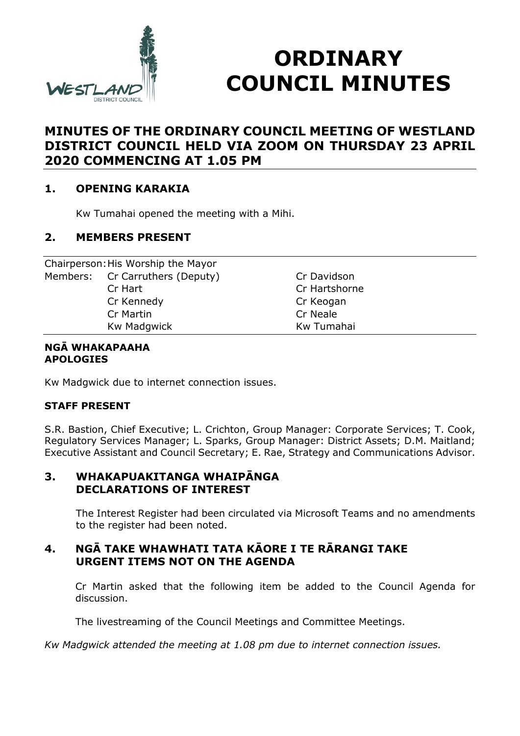

# **ORDINARY COUNCIL MINUTES**

## **MINUTES OF THE ORDINARY COUNCIL MEETING OF WESTLAND DISTRICT COUNCIL HELD VIA ZOOM ON THURSDAY 23 APRIL 2020 COMMENCING AT 1.05 PM**

## **1. OPENING KARAKIA**

Kw Tumahai opened the meeting with a Mihi.

## **2. MEMBERS PRESENT**

| Chairperson: His Worship the Mayor |               |  |
|------------------------------------|---------------|--|
| Members: Cr Carruthers (Deputy)    | Cr Davidson   |  |
| Cr Hart                            | Cr Hartshorne |  |
| Cr Kennedy                         | Cr Keogan     |  |
| Cr Martin                          | Cr Neale      |  |
| <b>Kw Madgwick</b>                 | Kw Tumahai    |  |

#### **NGĀ WHAKAPAAHA APOLOGIES**

Kw Madgwick due to internet connection issues.

#### **STAFF PRESENT**

S.R. Bastion, Chief Executive; L. Crichton, Group Manager: Corporate Services; T. Cook, Regulatory Services Manager; L. Sparks, Group Manager: District Assets; D.M. Maitland; Executive Assistant and Council Secretary; E. Rae, Strategy and Communications Advisor.

## **3. WHAKAPUAKITANGA WHAIPĀNGA DECLARATIONS OF INTEREST**

The Interest Register had been circulated via Microsoft Teams and no amendments to the register had been noted.

## **4. NGĀ TAKE WHAWHATI TATA KĀORE I TE RĀRANGI TAKE URGENT ITEMS NOT ON THE AGENDA**

Cr Martin asked that the following item be added to the Council Agenda for discussion.

The livestreaming of the Council Meetings and Committee Meetings.

*Kw Madgwick attended the meeting at 1.08 pm due to internet connection issues.*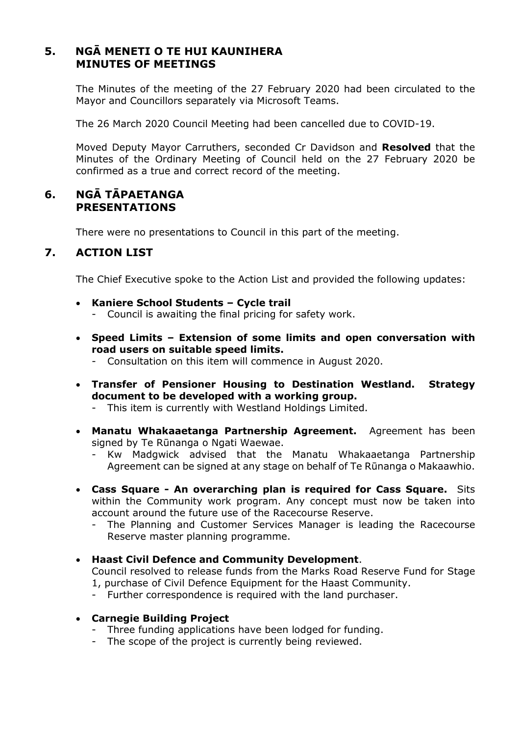## **5. NGĀ MENETI O TE HUI KAUNIHERA MINUTES OF MEETINGS**

The Minutes of the meeting of the 27 February 2020 had been circulated to the Mayor and Councillors separately via Microsoft Teams.

The 26 March 2020 Council Meeting had been cancelled due to COVID-19.

Moved Deputy Mayor Carruthers, seconded Cr Davidson and **Resolved** that the Minutes of the Ordinary Meeting of Council held on the 27 February 2020 be confirmed as a true and correct record of the meeting.

## **6. NGĀ TĀPAETANGA PRESENTATIONS**

There were no presentations to Council in this part of the meeting.

## **7. ACTION LIST**

The Chief Executive spoke to the Action List and provided the following updates:

- **Kaniere School Students Cycle trail**
	- Council is awaiting the final pricing for safety work.
- **Speed Limits Extension of some limits and open conversation with road users on suitable speed limits.**
	- Consultation on this item will commence in August 2020.
- **Transfer of Pensioner Housing to Destination Westland. Strategy document to be developed with a working group.**
	- This item is currently with Westland Holdings Limited.
- **Manatu Whakaaetanga Partnership Agreement.** Agreement has been signed by Te Rūnanga o Ngati Waewae.
	- Kw Madgwick advised that the Manatu Whakaaetanga Partnership Agreement can be signed at any stage on behalf of Te Rūnanga o Makaawhio.
- **Cass Square An overarching plan is required for Cass Square.** Sits within the Community work program. Any concept must now be taken into account around the future use of the Racecourse Reserve.
	- The Planning and Customer Services Manager is leading the Racecourse Reserve master planning programme.

#### **Haast Civil Defence and Community Development**.

Council resolved to release funds from the Marks Road Reserve Fund for Stage 1, purchase of Civil Defence Equipment for the Haast Community.

- Further correspondence is required with the land purchaser.
- **Carnegie Building Project**
	- Three funding applications have been lodged for funding.
	- The scope of the project is currently being reviewed.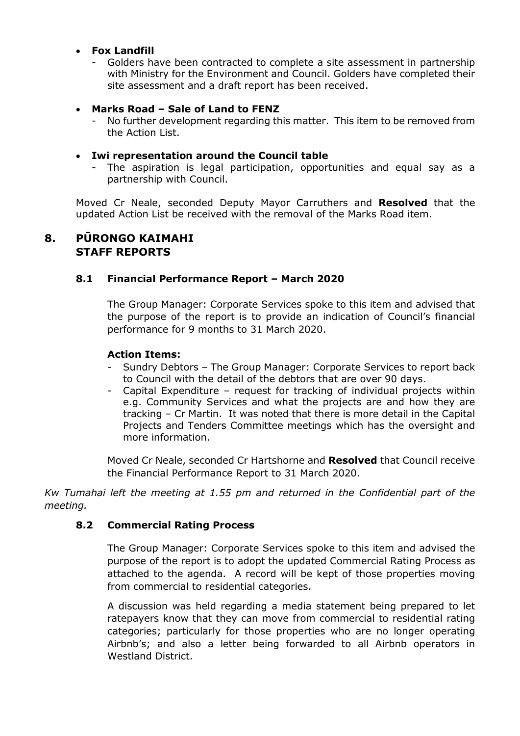#### **Fox Landfill**

Golders have been contracted to complete a site assessment in partnership with Ministry for the Environment and Council. Golders have completed their site assessment and a draft report has been received.

#### **Marks Road – Sale of Land to FENZ**

No further development regarding this matter. This item to be removed from the Action List.

#### **Iwi representation around the Council table**

The aspiration is legal participation, opportunities and equal say as a partnership with Council.

Moved Cr Neale, seconded Deputy Mayor Carruthers and **Resolved** that the updated Action List be received with the removal of the Marks Road item.

## **8. PŪRONGO KAIMAHI STAFF REPORTS**

#### **8.1 Financial Performance Report – March 2020**

The Group Manager: Corporate Services spoke to this item and advised that the purpose of the report is to provide an indication of Council's financial performance for 9 months to 31 March 2020.

#### **Action Items:**

- Sundry Debtors The Group Manager: Corporate Services to report back to Council with the detail of the debtors that are over 90 days.
- Capital Expenditure request for tracking of individual projects within e.g. Community Services and what the projects are and how they are tracking – Cr Martin. It was noted that there is more detail in the Capital Projects and Tenders Committee meetings which has the oversight and more information.

Moved Cr Neale, seconded Cr Hartshorne and **Resolved** that Council receive the Financial Performance Report to 31 March 2020.

*Kw Tumahai left the meeting at 1.55 pm and returned in the Confidential part of the meeting.*

#### **8.2 Commercial Rating Process**

The Group Manager: Corporate Services spoke to this item and advised the purpose of the report is to adopt the updated Commercial Rating Process as attached to the agenda. A record will be kept of those properties moving from commercial to residential categories.

A discussion was held regarding a media statement being prepared to let ratepayers know that they can move from commercial to residential rating categories; particularly for those properties who are no longer operating Airbnb's; and also a letter being forwarded to all Airbnb operators in Westland District.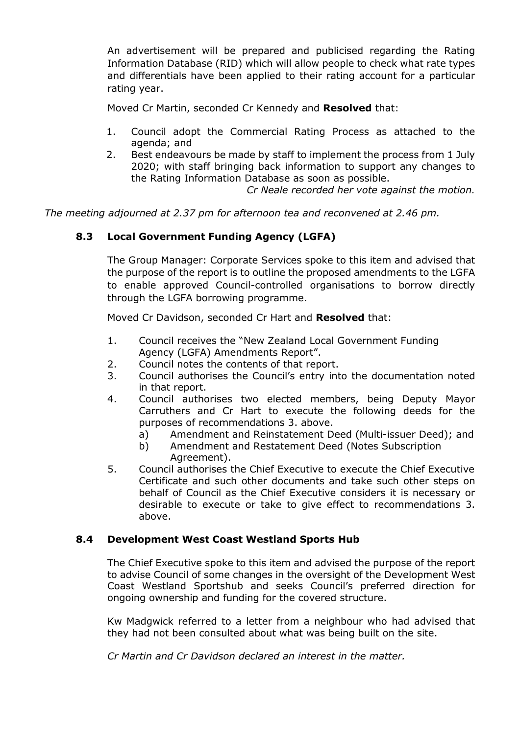An advertisement will be prepared and publicised regarding the Rating Information Database (RID) which will allow people to check what rate types and differentials have been applied to their rating account for a particular rating year.

Moved Cr Martin, seconded Cr Kennedy and **Resolved** that:

- 1. Council adopt the Commercial Rating Process as attached to the agenda; and
- 2. Best endeavours be made by staff to implement the process from 1 July 2020; with staff bringing back information to support any changes to the Rating Information Database as soon as possible.

*Cr Neale recorded her vote against the motion.*

*The meeting adjourned at 2.37 pm for afternoon tea and reconvened at 2.46 pm.*

## **8.3 Local Government Funding Agency (LGFA)**

The Group Manager: Corporate Services spoke to this item and advised that the purpose of the report is to outline the proposed amendments to the LGFA to enable approved Council-controlled organisations to borrow directly through the LGFA borrowing programme.

Moved Cr Davidson, seconded Cr Hart and **Resolved** that:

- 1. Council receives the "New Zealand Local Government Funding Agency (LGFA) Amendments Report".
- 2. Council notes the contents of that report.
- 3. Council authorises the Council's entry into the documentation noted in that report.
- 4. Council authorises two elected members, being Deputy Mayor Carruthers and Cr Hart to execute the following deeds for the purposes of recommendations 3. above.
	- a) Amendment and Reinstatement Deed (Multi-issuer Deed); and
	- b) Amendment and Restatement Deed (Notes Subscription Agreement).
- 5. Council authorises the Chief Executive to execute the Chief Executive Certificate and such other documents and take such other steps on behalf of Council as the Chief Executive considers it is necessary or desirable to execute or take to give effect to recommendations 3. above.

#### **8.4 Development West Coast Westland Sports Hub**

The Chief Executive spoke to this item and advised the purpose of the report to advise Council of some changes in the oversight of the Development West Coast Westland Sportshub and seeks Council's preferred direction for ongoing ownership and funding for the covered structure.

Kw Madgwick referred to a letter from a neighbour who had advised that they had not been consulted about what was being built on the site.

*Cr Martin and Cr Davidson declared an interest in the matter.*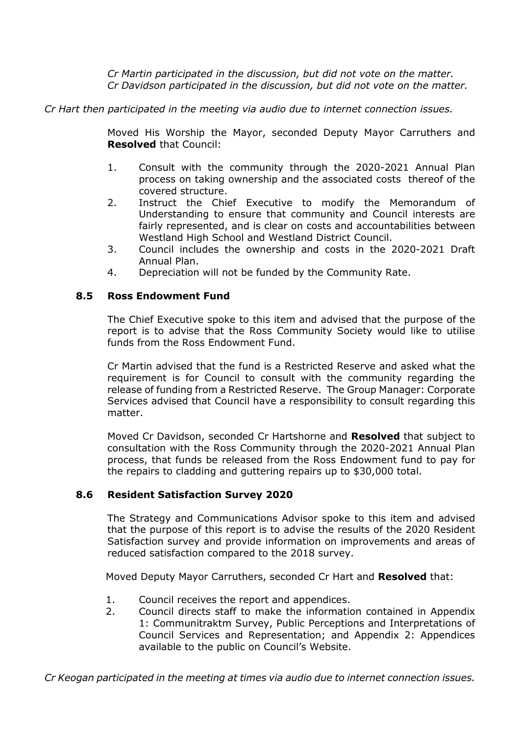*Cr Martin participated in the discussion, but did not vote on the matter. Cr Davidson participated in the discussion, but did not vote on the matter.*

*Cr Hart then participated in the meeting via audio due to internet connection issues.*

Moved His Worship the Mayor, seconded Deputy Mayor Carruthers and **Resolved** that Council:

- 1. Consult with the community through the 2020-2021 Annual Plan process on taking ownership and the associated costs thereof of the covered structure.
- 2. Instruct the Chief Executive to modify the Memorandum of Understanding to ensure that community and Council interests are fairly represented, and is clear on costs and accountabilities between Westland High School and Westland District Council.
- 3. Council includes the ownership and costs in the 2020-2021 Draft Annual Plan.
- 4. Depreciation will not be funded by the Community Rate.

#### **8.5 Ross Endowment Fund**

The Chief Executive spoke to this item and advised that the purpose of the report is to advise that the Ross Community Society would like to utilise funds from the Ross Endowment Fund.

Cr Martin advised that the fund is a Restricted Reserve and asked what the requirement is for Council to consult with the community regarding the release of funding from a Restricted Reserve. The Group Manager: Corporate Services advised that Council have a responsibility to consult regarding this matter.

Moved Cr Davidson, seconded Cr Hartshorne and **Resolved** that subject to consultation with the Ross Community through the 2020-2021 Annual Plan process, that funds be released from the Ross Endowment fund to pay for the repairs to cladding and guttering repairs up to \$30,000 total.

#### **8.6 Resident Satisfaction Survey 2020**

The Strategy and Communications Advisor spoke to this item and advised that the purpose of this report is to advise the results of the 2020 Resident Satisfaction survey and provide information on improvements and areas of reduced satisfaction compared to the 2018 survey.

Moved Deputy Mayor Carruthers, seconded Cr Hart and **Resolved** that:

- 1. Council receives the report and appendices.
- 2. Council directs staff to make the information contained in Appendix 1: Communitraktm Survey, Public Perceptions and Interpretations of Council Services and Representation; and Appendix 2: Appendices available to the public on Council's Website.

*Cr Keogan participated in the meeting at times via audio due to internet connection issues.*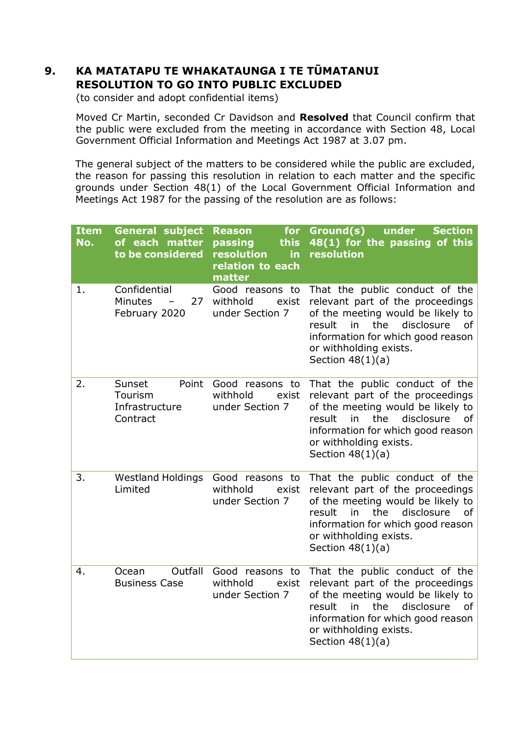## **9. KA MATATAPU TE WHAKATAUNGA I TE TŪMATANUI RESOLUTION TO GO INTO PUBLIC EXCLUDED**

(to consider and adopt confidential items)

Moved Cr Martin, seconded Cr Davidson and **Resolved** that Council confirm that the public were excluded from the meeting in accordance with Section 48, Local Government Official Information and Meetings Act 1987 at 3.07 pm.

The general subject of the matters to be considered while the public are excluded, the reason for passing this resolution in relation to each matter and the specific grounds under Section 48(1) of the Local Government Official Information and Meetings Act 1987 for the passing of the resolution are as follows:

| <b>Item</b><br>No. | <b>General subject</b><br>of each matter<br>to be considered | <b>Reason</b><br>for<br>this<br>passing<br>resolution<br><b>in</b><br>relation to each<br>matter | Ground(s)<br><b>Section</b><br>under<br>48(1) for the passing of this<br>resolution                                                                                                                                                     |
|--------------------|--------------------------------------------------------------|--------------------------------------------------------------------------------------------------|-----------------------------------------------------------------------------------------------------------------------------------------------------------------------------------------------------------------------------------------|
| 1.                 | Confidential<br><b>Minutes</b><br>27<br>February 2020        | Good reasons to<br>withhold<br>exist<br>under Section 7                                          | That the public conduct of the<br>relevant part of the proceedings<br>of the meeting would be likely to<br>result<br>in<br>the<br>disclosure<br>of<br>information for which good reason<br>or withholding exists.<br>Section $48(1)(a)$ |
| 2.                 | Sunset<br>Point<br>Tourism<br>Infrastructure<br>Contract     | Good reasons to<br>withhold<br>exist<br>under Section 7                                          | That the public conduct of the<br>relevant part of the proceedings<br>of the meeting would be likely to<br>disclosure<br>result<br>in<br>the<br>0f<br>information for which good reason<br>or withholding exists.<br>Section $48(1)(a)$ |
| 3.                 | <b>Westland Holdings</b><br>Limited                          | Good reasons to<br>withhold<br>exist<br>under Section 7                                          | That the public conduct of the<br>relevant part of the proceedings<br>of the meeting would be likely to<br>the<br>disclosure<br>result<br>in<br>of<br>information for which good reason<br>or withholding exists.<br>Section $48(1)(a)$ |
| 4.                 | Outfall<br>Ocean<br><b>Business Case</b>                     | Good reasons to<br>withhold<br>exist<br>under Section 7                                          | That the public conduct of the<br>relevant part of the proceedings<br>of the meeting would be likely to<br>the<br>disclosure<br>of<br>result<br>in<br>information for which good reason<br>or withholding exists.<br>Section $48(1)(a)$ |